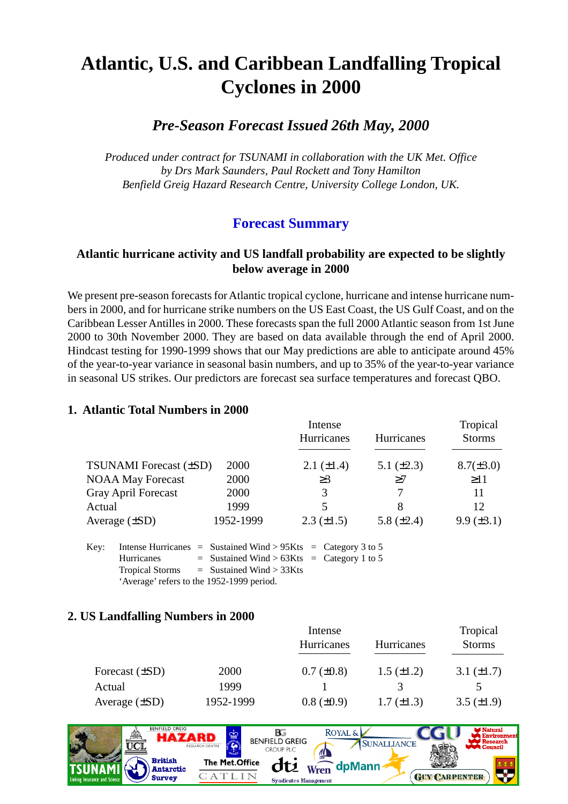## **Atlantic, U.S. and Caribbean Landfalling Tropical Cyclones in 2000**

#### *Pre-Season Forecast Issued 26th May, 2000*

*Produced under contract for TSUNAMI in collaboration with the UK Met. Office by Drs Mark Saunders, Paul Rockett and Tony Hamilton Benfield Greig Hazard Research Centre, University College London, UK.*

#### **Forecast Summary**

#### **Atlantic hurricane activity and US landfall probability are expected to be slightly below average in 2000**

We present pre-season forecasts for Atlantic tropical cyclone, hurricane and intense hurricane numbers in 2000, and for hurricane strike numbers on the US East Coast, the US Gulf Coast, and on the Caribbean Lesser Antilles in 2000. These forecasts span the full 2000 Atlantic season from 1st June 2000 to 30th November 2000. They are based on data available through the end of April 2000. Hindcast testing for 1990-1999 shows that our May predictions are able to anticipate around 45% of the year-to-year variance in seasonal basin numbers, and up to 35% of the year-to-year variance in seasonal US strikes. Our predictors are forecast sea surface temperatures and forecast QBO.

#### **1. Atlantic Total Numbers in 2000**

|                               |           | Intense                  |                 | Tropical          |
|-------------------------------|-----------|--------------------------|-----------------|-------------------|
|                               |           | Hurricanes               | Hurricanes      | <b>Storms</b>     |
|                               |           |                          |                 |                   |
| <b>TSUNAMI</b> Forecast (±SD) | 2000      | 2.1 $(\pm 1.4)$          | 5.1 $(\pm 2.3)$ | $8.7(\pm 3.0)$    |
| <b>NOAA May Forecast</b>      | 2000      | $\geq$ 3                 | $\geq$ 7        | $\geq$ 11         |
| <b>Gray April Forecast</b>    | 2000      | 3                        |                 | 11                |
| Actual                        | 1999      | $\overline{\mathcal{L}}$ | 8               | 12                |
| Average $(\pm SD)$            | 1952-1999 | $2.3 \ (\pm 1.5)$        | 5.8 $(\pm 2.4)$ | $9.9 \ (\pm 3.1)$ |

Key: Intense Hurricanes = Sustained Wind >  $95Kts =$  Category 3 to 5 Hurricanes  $=$  Sustained Wind > 63Kts = Category 1 to 5  $Tropical~Storms = Sustained~Wind > 33Kts$ 'Average' refers to the 1952-1999 period.

#### **2. US Landfalling Numbers in 2000**

|                     |           | Intense           |                   | Tropical        |
|---------------------|-----------|-------------------|-------------------|-----------------|
|                     |           | Hurricanes        | <b>Hurricanes</b> | <b>Storms</b>   |
|                     |           |                   |                   |                 |
| Forecast $(\pm SD)$ | 2000      | $0.7 (\pm 0.8)$   | $1.5 \ (\pm 1.2)$ | 3.1 $(\pm 1.7)$ |
| Actual              | 1999      |                   |                   |                 |
| Average $(\pm SD)$  | 1952-1999 | $0.8 \ (\pm 0.9)$ | $1.7 (\pm 1.3)$   | 3.5 $(\pm 1.9)$ |

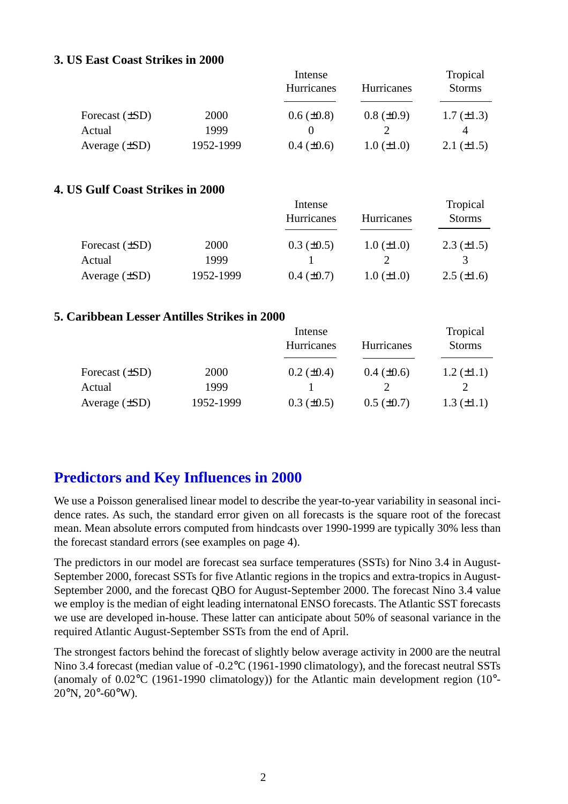#### **3. US East Coast Strikes in 2000**

|                     |           | Intense           |                   | Tropical        |
|---------------------|-----------|-------------------|-------------------|-----------------|
|                     |           | Hurricanes        | Hurricanes        | <b>Storms</b>   |
| Forecast $(\pm SD)$ | 2000      | $0.6 \ (\pm 0.8)$ | $0.8 \ (\pm 0.9)$ | $1.7 (\pm 1.3)$ |
| Actual              | 1999      |                   |                   |                 |
| Average $(\pm SD)$  | 1952-1999 | $0.4 \ (\pm 0.6)$ | $1.0 (\pm 1.0)$   | 2.1 $(\pm 1.5)$ |

#### **4. US Gulf Coast Strikes in 2000**

|                     |           | Intense           |                   | Tropical          |  |
|---------------------|-----------|-------------------|-------------------|-------------------|--|
|                     |           | Hurricanes        | <b>Hurricanes</b> | <b>Storms</b>     |  |
| Forecast $(\pm SD)$ | 2000      | $0.3 \ (\pm 0.5)$ | $1.0 (\pm 1.0)$   | $2.3 \ (\pm 1.5)$ |  |
| Actual              | 1999      |                   |                   |                   |  |
| Average $(\pm SD)$  | 1952-1999 | $0.4 \ (\pm 0.7)$ | $1.0 (\pm 1.0)$   | $2.5 \ (\pm 1.6)$ |  |

#### **5. Caribbean Lesser Antilles Strikes in 2000**

|                     |           | Intense           |                   | Tropical          |
|---------------------|-----------|-------------------|-------------------|-------------------|
|                     |           | Hurricanes        | Hurricanes        | <b>Storms</b>     |
| Forecast $(\pm SD)$ | 2000      | $0.2 \ (\pm 0.4)$ | $0.4~(\pm 0.6)$   | $1.2 \ (\pm 1.1)$ |
| Actual              | 1999      |                   |                   |                   |
| Average $(\pm SD)$  | 1952-1999 | $0.3 \ (\pm 0.5)$ | $0.5 \ (\pm 0.7)$ | $1.3 \ (\pm 1.1)$ |

### **Predictors and Key Influences in 2000**

We use a Poisson generalised linear model to describe the year-to-year variability in seasonal incidence rates. As such, the standard error given on all forecasts is the square root of the forecast mean. Mean absolute errors computed from hindcasts over 1990-1999 are typically 30% less than the forecast standard errors (see examples on page 4).

The predictors in our model are forecast sea surface temperatures (SSTs) for Nino 3.4 in August-September 2000, forecast SSTs for five Atlantic regions in the tropics and extra-tropics in August-September 2000, and the forecast QBO for August-September 2000. The forecast Nino 3.4 value we employ is the median of eight leading internatonal ENSO forecasts. The Atlantic SST forecasts we use are developed in-house. These latter can anticipate about 50% of seasonal variance in the required Atlantic August-September SSTs from the end of April.

The strongest factors behind the forecast of slightly below average activity in 2000 are the neutral Nino 3.4 forecast (median value of -0.2°C (1961-1990 climatology), and the forecast neutral SSTs (anomaly of  $0.02^{\circ}$ C (1961-1990 climatology)) for the Atlantic main development region (10 $^{\circ}$ - $20^{\circ}$ N,  $20^{\circ}$ -60°W).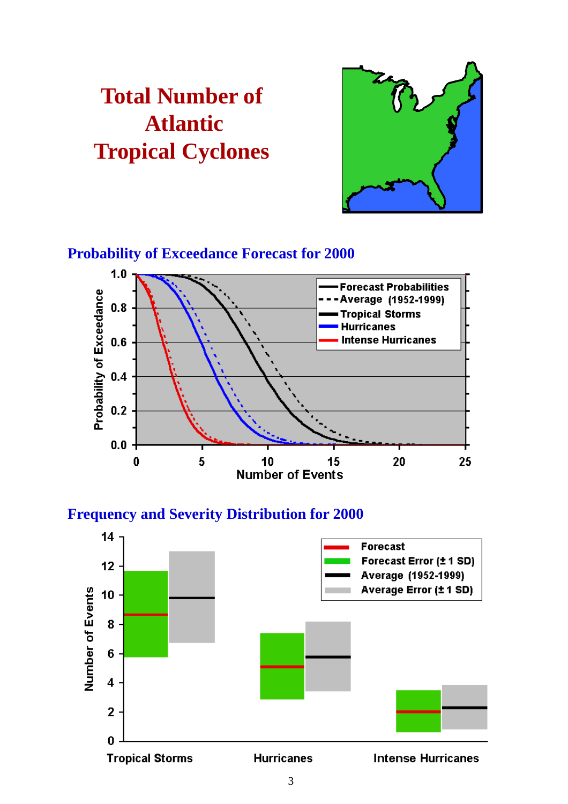# **Total Number of Atlantic Tropical Cyclones**



### **Probability of Exceedance Forecast for 2000**



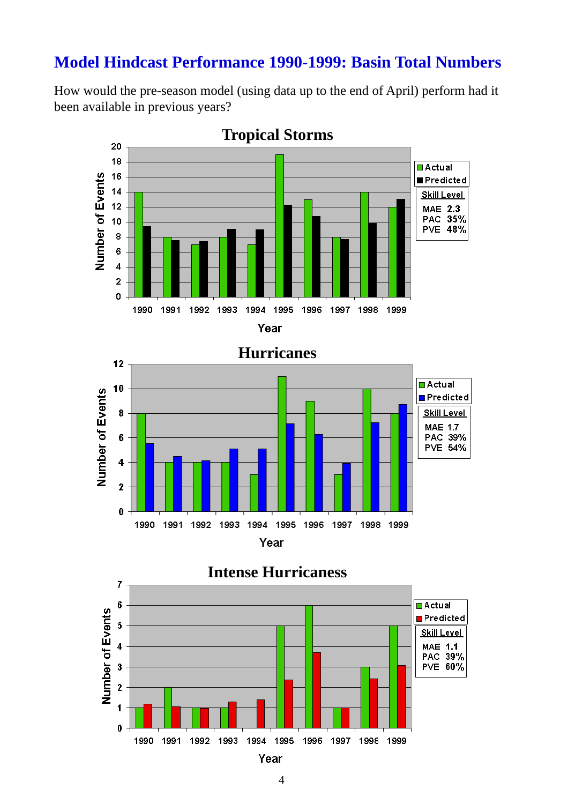## **Model Hindcast Performance 1990-1999: Basin Total Numbers**

How would the pre-season model (using data up to the end of April) perform had it been available in previous years?



## **Hurricanes**





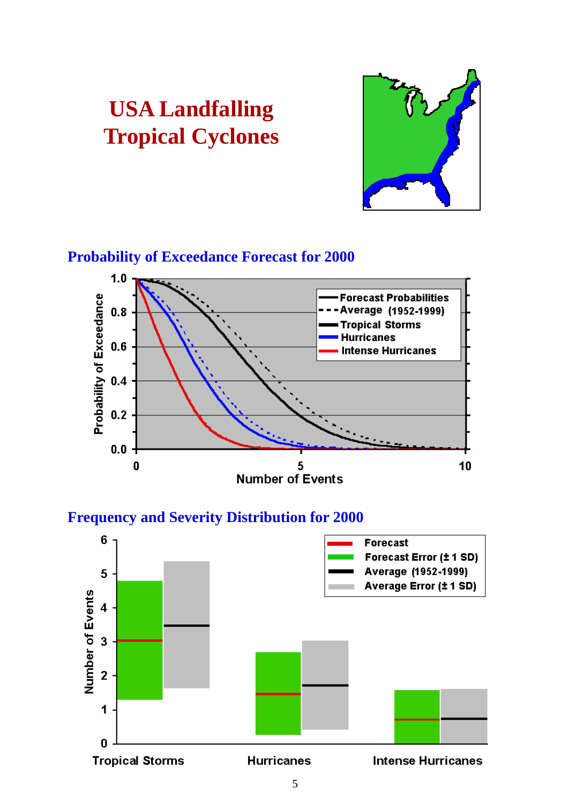

#### **Probability of Exceedance Forecast for 2000**

**USA Landfalling**

**Tropical Cyclones**



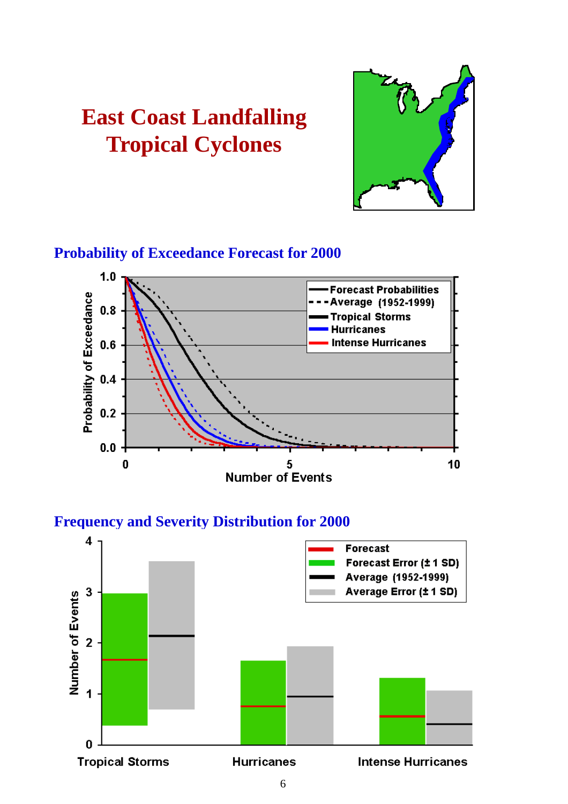## **East Coast Landfalling Tropical Cyclones**



## **Probability of Exceedance Forecast for 2000**



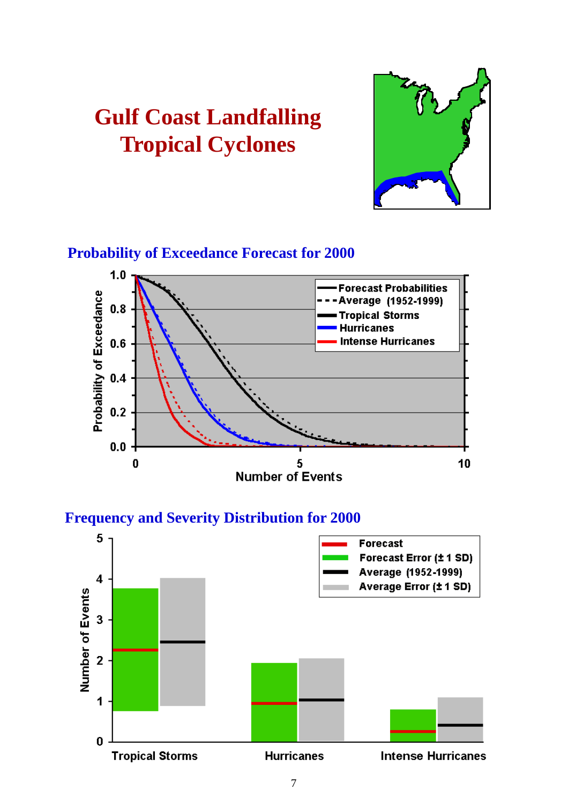# **Gulf Coast Landfalling Tropical Cyclones**



## **Probability of Exceedance Forecast for 2000**



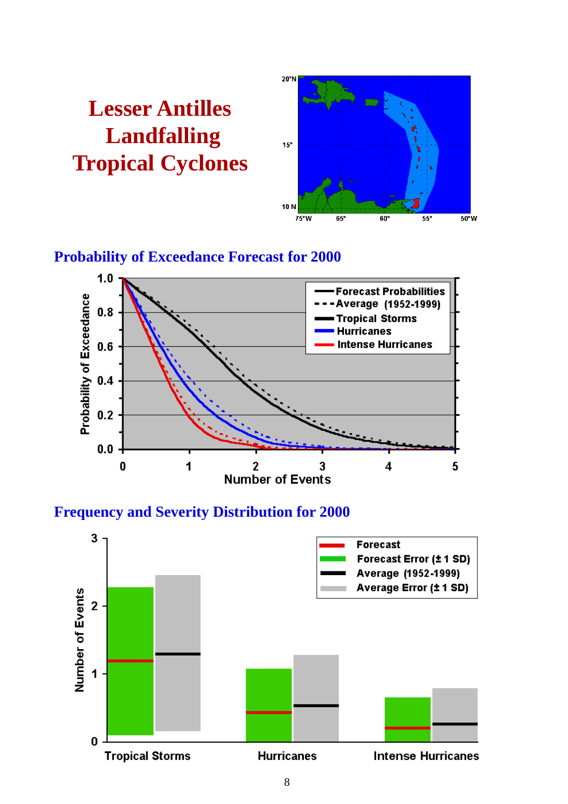



#### **Probability of Exceedance Forecast for 2000**



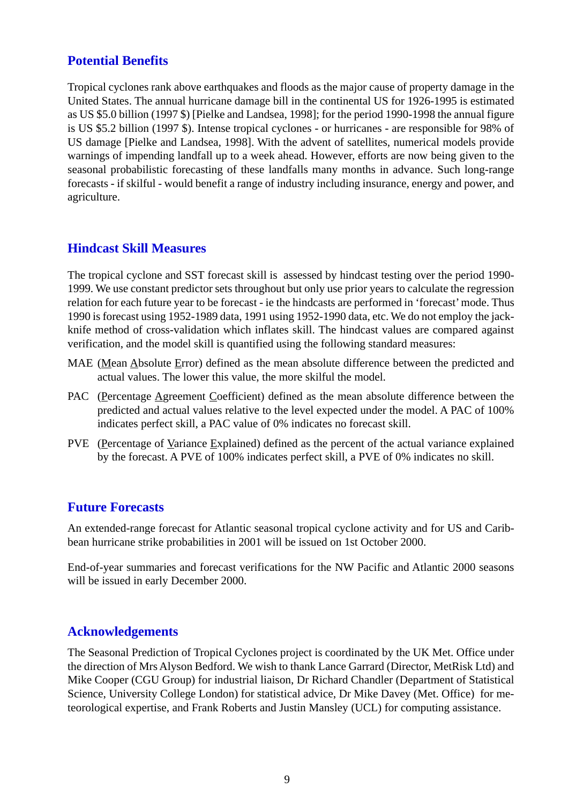#### **Potential Benefits**

Tropical cyclones rank above earthquakes and floods as the major cause of property damage in the United States. The annual hurricane damage bill in the continental US for 1926-1995 is estimated as US \$5.0 billion (1997 \$) [Pielke and Landsea, 1998]; for the period 1990-1998 the annual figure is US \$5.2 billion (1997 \$). Intense tropical cyclones - or hurricanes - are responsible for 98% of US damage [Pielke and Landsea, 1998]. With the advent of satellites, numerical models provide warnings of impending landfall up to a week ahead. However, efforts are now being given to the seasonal probabilistic forecasting of these landfalls many months in advance. Such long-range forecasts - if skilful - would benefit a range of industry including insurance, energy and power, and agriculture.

#### **Hindcast Skill Measures**

The tropical cyclone and SST forecast skill is assessed by hindcast testing over the period 1990- 1999. We use constant predictor sets throughout but only use prior years to calculate the regression relation for each future year to be forecast - ie the hindcasts are performed in 'forecast' mode. Thus 1990 is forecast using 1952-1989 data, 1991 using 1952-1990 data, etc. We do not employ the jackknife method of cross-validation which inflates skill. The hindcast values are compared against verification, and the model skill is quantified using the following standard measures:

- MAE (Mean Absolute Error) defined as the mean absolute difference between the predicted and actual values. The lower this value, the more skilful the model.
- PAC (Percentage Agreement Coefficient) defined as the mean absolute difference between the predicted and actual values relative to the level expected under the model. A PAC of 100% indicates perfect skill, a PAC value of 0% indicates no forecast skill.
- PVE (Percentage of Variance Explained) defined as the percent of the actual variance explained by the forecast. A PVE of 100% indicates perfect skill, a PVE of 0% indicates no skill.

#### **Future Forecasts**

An extended-range forecast for Atlantic seasonal tropical cyclone activity and for US and Caribbean hurricane strike probabilities in 2001 will be issued on 1st October 2000.

End-of-year summaries and forecast verifications for the NW Pacific and Atlantic 2000 seasons will be issued in early December 2000.

#### **Acknowledgements**

The Seasonal Prediction of Tropical Cyclones project is coordinated by the UK Met. Office under the direction of Mrs Alyson Bedford. We wish to thank Lance Garrard (Director, MetRisk Ltd) and Mike Cooper (CGU Group) for industrial liaison, Dr Richard Chandler (Department of Statistical Science, University College London) for statistical advice, Dr Mike Davey (Met. Office) for meteorological expertise, and Frank Roberts and Justin Mansley (UCL) for computing assistance.